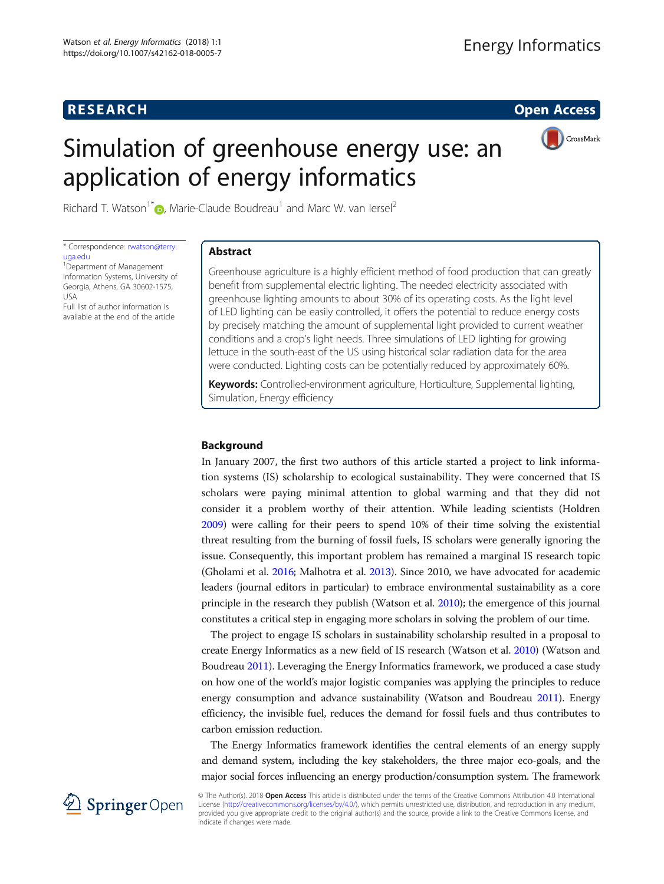# **RESEARCH RESEARCH CONSUMING ACCESS**

# Simulation of greenhouse energy use: an application of energy informatics



Richard T. Watson<sup>1[\\*](http://orcid.org/0000-0003-0664-8337)</sup> , Marie-Claude Boudreau<sup>1</sup> and Marc W. van Iersel<sup>2</sup>

\* Correspondence: [rwatson@terry.](mailto:rwatson@terry.uga.edu) [uga.edu](mailto:rwatson@terry.uga.edu)

<sup>1</sup> Department of Management Information Systems, University of Georgia, Athens, GA 30602-1575, USA Full list of author information is available at the end of the article

## Abstract

Greenhouse agriculture is a highly efficient method of food production that can greatly benefit from supplemental electric lighting. The needed electricity associated with greenhouse lighting amounts to about 30% of its operating costs. As the light level of LED lighting can be easily controlled, it offers the potential to reduce energy costs by precisely matching the amount of supplemental light provided to current weather conditions and a crop's light needs. Three simulations of LED lighting for growing lettuce in the south-east of the US using historical solar radiation data for the area were conducted. Lighting costs can be potentially reduced by approximately 60%.

Keywords: Controlled-environment agriculture, Horticulture, Supplemental lighting, Simulation, Energy efficiency

## Background

In January 2007, the first two authors of this article started a project to link information systems (IS) scholarship to ecological sustainability. They were concerned that IS scholars were paying minimal attention to global warming and that they did not consider it a problem worthy of their attention. While leading scientists (Holdren [2009](#page-12-0)) were calling for their peers to spend 10% of their time solving the existential threat resulting from the burning of fossil fuels, IS scholars were generally ignoring the issue. Consequently, this important problem has remained a marginal IS research topic (Gholami et al. [2016;](#page-12-0) Malhotra et al. [2013\)](#page-13-0). Since 2010, we have advocated for academic leaders (journal editors in particular) to embrace environmental sustainability as a core principle in the research they publish (Watson et al. [2010](#page-13-0)); the emergence of this journal constitutes a critical step in engaging more scholars in solving the problem of our time.

The project to engage IS scholars in sustainability scholarship resulted in a proposal to create Energy Informatics as a new field of IS research (Watson et al. [2010](#page-13-0)) (Watson and Boudreau [2011](#page-13-0)). Leveraging the Energy Informatics framework, we produced a case study on how one of the world's major logistic companies was applying the principles to reduce energy consumption and advance sustainability (Watson and Boudreau [2011](#page-13-0)). Energy efficiency, the invisible fuel, reduces the demand for fossil fuels and thus contributes to carbon emission reduction.

The Energy Informatics framework identifies the central elements of an energy supply and demand system, including the key stakeholders, the three major eco-goals, and the major social forces influencing an energy production/consumption system. The framework



© The Author(s). 2018 Open Access This article is distributed under the terms of the Creative Commons Attribution 4.0 International License [\(http://creativecommons.org/licenses/by/4.0/](http://creativecommons.org/licenses/by/4.0/)), which permits unrestricted use, distribution, and reproduction in any medium, provided you give appropriate credit to the original author(s) and the source, provide a link to the Creative Commons license, and indicate if changes were made.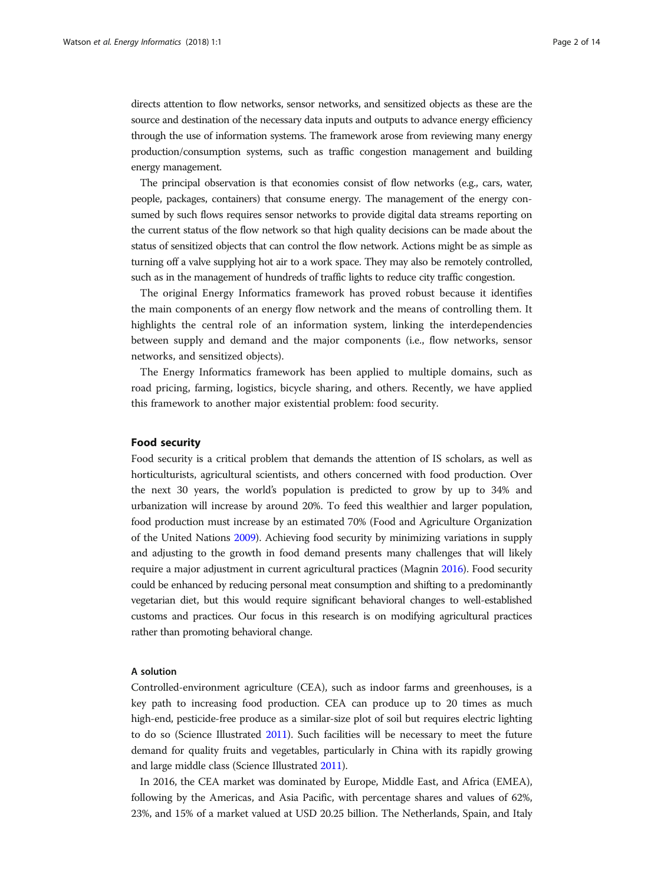directs attention to flow networks, sensor networks, and sensitized objects as these are the source and destination of the necessary data inputs and outputs to advance energy efficiency through the use of information systems. The framework arose from reviewing many energy production/consumption systems, such as traffic congestion management and building energy management.

The principal observation is that economies consist of flow networks (e.g., cars, water, people, packages, containers) that consume energy. The management of the energy consumed by such flows requires sensor networks to provide digital data streams reporting on the current status of the flow network so that high quality decisions can be made about the status of sensitized objects that can control the flow network. Actions might be as simple as turning off a valve supplying hot air to a work space. They may also be remotely controlled, such as in the management of hundreds of traffic lights to reduce city traffic congestion.

The original Energy Informatics framework has proved robust because it identifies the main components of an energy flow network and the means of controlling them. It highlights the central role of an information system, linking the interdependencies between supply and demand and the major components (i.e., flow networks, sensor networks, and sensitized objects).

The Energy Informatics framework has been applied to multiple domains, such as road pricing, farming, logistics, bicycle sharing, and others. Recently, we have applied this framework to another major existential problem: food security.

### Food security

Food security is a critical problem that demands the attention of IS scholars, as well as horticulturists, agricultural scientists, and others concerned with food production. Over the next 30 years, the world's population is predicted to grow by up to 34% and urbanization will increase by around 20%. To feed this wealthier and larger population, food production must increase by an estimated 70% (Food and Agriculture Organization of the United Nations [2009](#page-12-0)). Achieving food security by minimizing variations in supply and adjusting to the growth in food demand presents many challenges that will likely require a major adjustment in current agricultural practices (Magnin [2016](#page-13-0)). Food security could be enhanced by reducing personal meat consumption and shifting to a predominantly vegetarian diet, but this would require significant behavioral changes to well-established customs and practices. Our focus in this research is on modifying agricultural practices rather than promoting behavioral change.

## A solution

Controlled-environment agriculture (CEA), such as indoor farms and greenhouses, is a key path to increasing food production. CEA can produce up to 20 times as much high-end, pesticide-free produce as a similar-size plot of soil but requires electric lighting to do so (Science Illustrated [2011\)](#page-13-0). Such facilities will be necessary to meet the future demand for quality fruits and vegetables, particularly in China with its rapidly growing and large middle class (Science Illustrated [2011\)](#page-13-0).

In 2016, the CEA market was dominated by Europe, Middle East, and Africa (EMEA), following by the Americas, and Asia Pacific, with percentage shares and values of 62%, 23%, and 15% of a market valued at USD 20.25 billion. The Netherlands, Spain, and Italy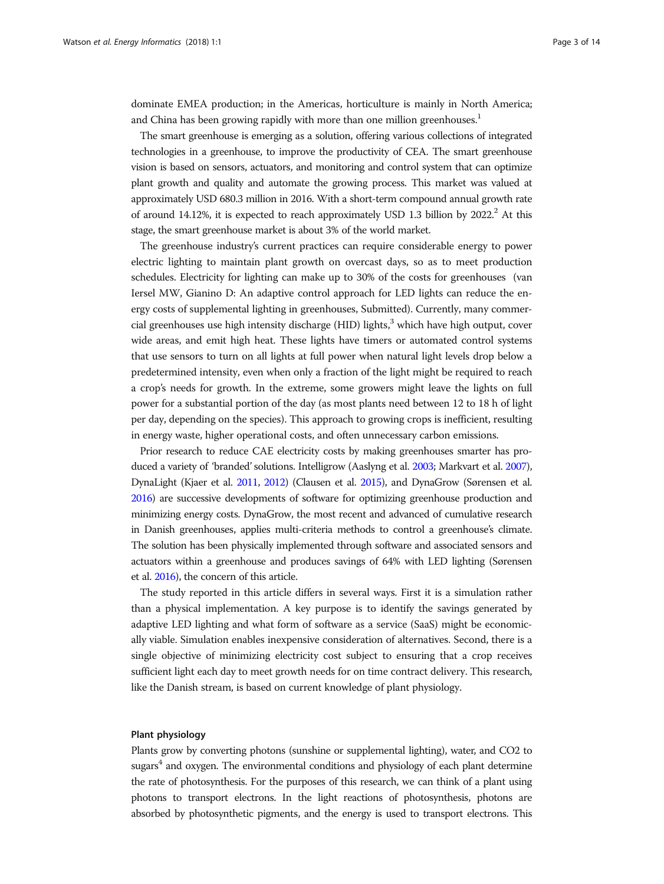dominate EMEA production; in the Americas, horticulture is mainly in North America; and China has been growing rapidly with more than one million greenhouses.<sup>1</sup>

The smart greenhouse is emerging as a solution, offering various collections of integrated technologies in a greenhouse, to improve the productivity of CEA. The smart greenhouse vision is based on sensors, actuators, and monitoring and control system that can optimize plant growth and quality and automate the growing process. This market was valued at approximately USD 680.3 million in 2016. With a short-term compound annual growth rate of around 14.12%, it is expected to reach approximately USD 1.3 billion by 2022.<sup>2</sup> At this stage, the smart greenhouse market is about 3% of the world market.

The greenhouse industry's current practices can require considerable energy to power electric lighting to maintain plant growth on overcast days, so as to meet production schedules. Electricity for lighting can make up to 30% of the costs for greenhouses (van Iersel MW, Gianino D: An adaptive control approach for LED lights can reduce the energy costs of supplemental lighting in greenhouses, Submitted). Currently, many commercial greenhouses use high intensity discharge (HID) lights, $3$  which have high output, cover wide areas, and emit high heat. These lights have timers or automated control systems that use sensors to turn on all lights at full power when natural light levels drop below a predetermined intensity, even when only a fraction of the light might be required to reach a crop's needs for growth. In the extreme, some growers might leave the lights on full power for a substantial portion of the day (as most plants need between 12 to 18 h of light per day, depending on the species). This approach to growing crops is inefficient, resulting in energy waste, higher operational costs, and often unnecessary carbon emissions.

Prior research to reduce CAE electricity costs by making greenhouses smarter has produced a variety of 'branded'solutions. Intelligrow (Aaslyng et al. [2003;](#page-12-0) Markvart et al. [2007](#page-13-0)), DynaLight (Kjaer et al. [2011](#page-12-0), [2012\)](#page-13-0) (Clausen et al. [2015](#page-12-0)), and DynaGrow (Sørensen et al. [2016\)](#page-13-0) are successive developments of software for optimizing greenhouse production and minimizing energy costs. DynaGrow, the most recent and advanced of cumulative research in Danish greenhouses, applies multi-criteria methods to control a greenhouse's climate. The solution has been physically implemented through software and associated sensors and actuators within a greenhouse and produces savings of 64% with LED lighting (Sørensen et al. [2016\)](#page-13-0), the concern of this article.

The study reported in this article differs in several ways. First it is a simulation rather than a physical implementation. A key purpose is to identify the savings generated by adaptive LED lighting and what form of software as a service (SaaS) might be economically viable. Simulation enables inexpensive consideration of alternatives. Second, there is a single objective of minimizing electricity cost subject to ensuring that a crop receives sufficient light each day to meet growth needs for on time contract delivery. This research, like the Danish stream, is based on current knowledge of plant physiology.

## Plant physiology

Plants grow by converting photons (sunshine or supplemental lighting), water, and CO2 to sugars<sup>4</sup> and oxygen. The environmental conditions and physiology of each plant determine the rate of photosynthesis. For the purposes of this research, we can think of a plant using photons to transport electrons. In the light reactions of photosynthesis, photons are absorbed by photosynthetic pigments, and the energy is used to transport electrons. This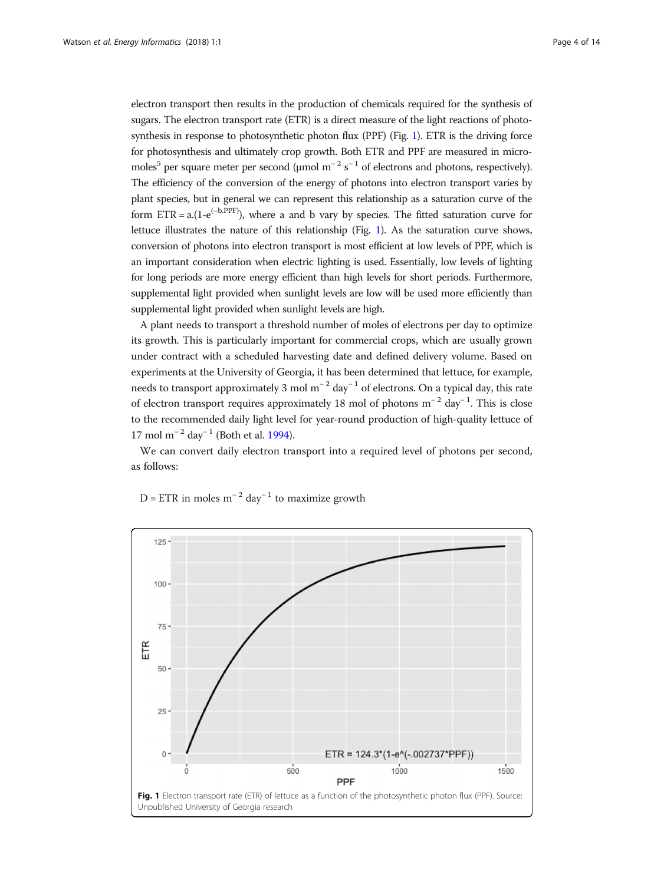<span id="page-3-0"></span>electron transport then results in the production of chemicals required for the synthesis of sugars. The electron transport rate (ETR) is a direct measure of the light reactions of photosynthesis in response to photosynthetic photon flux (PPF) (Fig. 1). ETR is the driving force for photosynthesis and ultimately crop growth. Both ETR and PPF are measured in micromoles<sup>5</sup> per square meter per second (µmol  $m^{-2}$  s<sup>-1</sup> of electrons and photons, respectively). The efficiency of the conversion of the energy of photons into electron transport varies by plant species, but in general we can represent this relationship as a saturation curve of the form  $ETR = a(1-e^{(-b.PPF)})$ , where a and b vary by species. The fitted saturation curve for lettuce illustrates the nature of this relationship (Fig. 1). As the saturation curve shows, conversion of photons into electron transport is most efficient at low levels of PPF, which is an important consideration when electric lighting is used. Essentially, low levels of lighting for long periods are more energy efficient than high levels for short periods. Furthermore, supplemental light provided when sunlight levels are low will be used more efficiently than supplemental light provided when sunlight levels are high.

A plant needs to transport a threshold number of moles of electrons per day to optimize its growth. This is particularly important for commercial crops, which are usually grown under contract with a scheduled harvesting date and defined delivery volume. Based on experiments at the University of Georgia, it has been determined that lettuce, for example, needs to transport approximately 3 mol m<sup>-2</sup> day<sup>-1</sup> of electrons. On a typical day, this rate of electron transport requires approximately 18 mol of photons  $m^{-2}$  day<sup>-1</sup>. This is close to the recommended daily light level for year-round production of high-quality lettuce of 17 mol m<sup>-2</sup> day<sup>-1</sup> (Both et al. [1994](#page-12-0)).

We can convert daily electron transport into a required level of photons per second, as follows:



D = ETR in moles  $m^{-2}$  day<sup>-1</sup> to maximize growth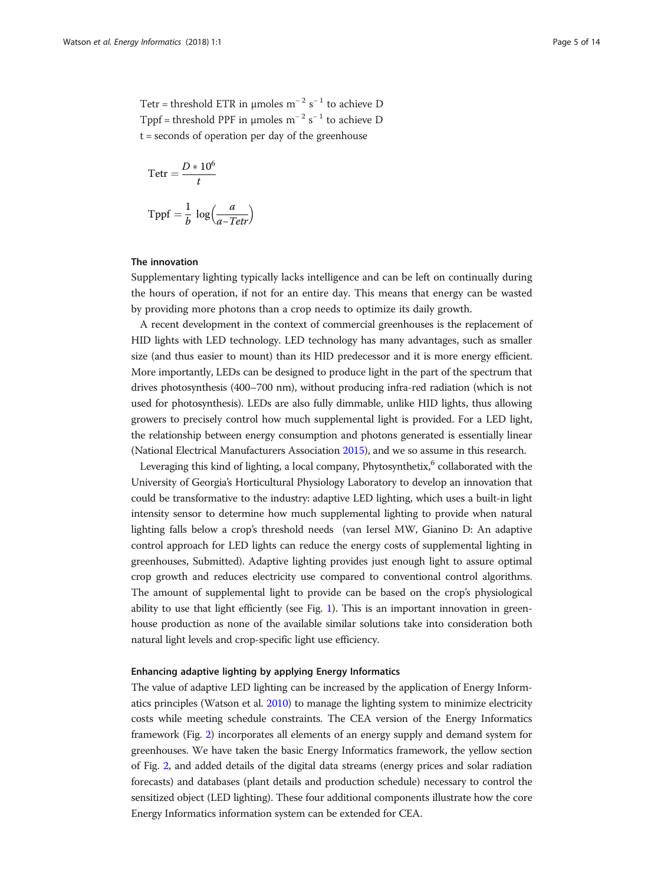Tetr = threshold ETR in  $\mu$ moles m<sup>-2</sup> s<sup>-1</sup> to achieve D Tppf = threshold PPF in  $\mu$ moles m<sup>-2</sup> s<sup>-1</sup> to achieve D  $t =$  seconds of operation per day of the greenhouse

$$
\text{Tetr} = \frac{D * 10^6}{t}
$$
\n
$$
\text{Tppf} = \frac{1}{b} \log \left( \frac{a}{a - Tetr} \right)
$$

## The innovation

Supplementary lighting typically lacks intelligence and can be left on continually during the hours of operation, if not for an entire day. This means that energy can be wasted by providing more photons than a crop needs to optimize its daily growth.

A recent development in the context of commercial greenhouses is the replacement of HID lights with LED technology. LED technology has many advantages, such as smaller size (and thus easier to mount) than its HID predecessor and it is more energy efficient. More importantly, LEDs can be designed to produce light in the part of the spectrum that drives photosynthesis (400–700 nm), without producing infra-red radiation (which is not used for photosynthesis). LEDs are also fully dimmable, unlike HID lights, thus allowing growers to precisely control how much supplemental light is provided. For a LED light, the relationship between energy consumption and photons generated is essentially linear (National Electrical Manufacturers Association [2015\)](#page-13-0), and we so assume in this research.

Leveraging this kind of lighting, a local company, Phytosynthetix,<sup>6</sup> collaborated with the University of Georgia's Horticultural Physiology Laboratory to develop an innovation that could be transformative to the industry: adaptive LED lighting, which uses a built-in light intensity sensor to determine how much supplemental lighting to provide when natural lighting falls below a crop's threshold needs (van Iersel MW, Gianino D: An adaptive control approach for LED lights can reduce the energy costs of supplemental lighting in greenhouses, Submitted). Adaptive lighting provides just enough light to assure optimal crop growth and reduces electricity use compared to conventional control algorithms. The amount of supplemental light to provide can be based on the crop's physiological ability to use that light efficiently (see Fig. [1\)](#page-3-0). This is an important innovation in greenhouse production as none of the available similar solutions take into consideration both natural light levels and crop-specific light use efficiency.

#### Enhancing adaptive lighting by applying Energy Informatics

The value of adaptive LED lighting can be increased by the application of Energy Informatics principles (Watson et al. [2010](#page-13-0)) to manage the lighting system to minimize electricity costs while meeting schedule constraints. The CEA version of the Energy Informatics framework (Fig. [2](#page-5-0)) incorporates all elements of an energy supply and demand system for greenhouses. We have taken the basic Energy Informatics framework, the yellow section of Fig. [2](#page-5-0), and added details of the digital data streams (energy prices and solar radiation forecasts) and databases (plant details and production schedule) necessary to control the sensitized object (LED lighting). These four additional components illustrate how the core Energy Informatics information system can be extended for CEA.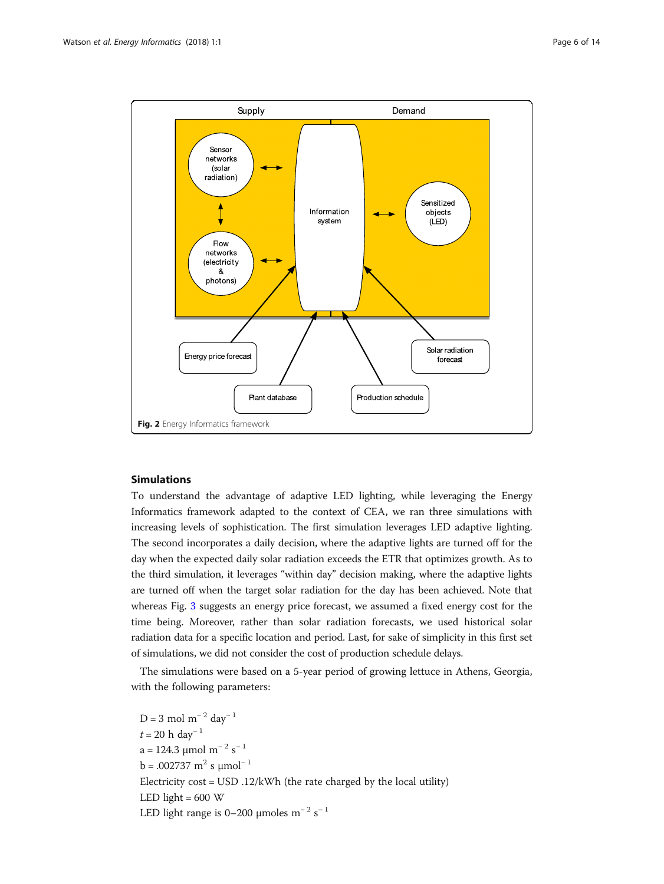<span id="page-5-0"></span>

#### Simulations

To understand the advantage of adaptive LED lighting, while leveraging the Energy Informatics framework adapted to the context of CEA, we ran three simulations with increasing levels of sophistication. The first simulation leverages LED adaptive lighting. The second incorporates a daily decision, where the adaptive lights are turned off for the day when the expected daily solar radiation exceeds the ETR that optimizes growth. As to the third simulation, it leverages "within day" decision making, where the adaptive lights are turned off when the target solar radiation for the day has been achieved. Note that whereas Fig. [3](#page-6-0) suggests an energy price forecast, we assumed a fixed energy cost for the time being. Moreover, rather than solar radiation forecasts, we used historical solar radiation data for a specific location and period. Last, for sake of simplicity in this first set of simulations, we did not consider the cost of production schedule delays.

The simulations were based on a 5-year period of growing lettuce in Athens, Georgia, with the following parameters:

D = 3 mol m<sup>-2</sup> day<sup>-1</sup>  $t = 20$  h day<sup>-1</sup> a = 124.3 μmol m<sup>-2</sup> s<sup>-1</sup> b = .002737 m<sup>2</sup> s  $\mu$ mol<sup>-1</sup> Electricity cost = USD .12/kWh (the rate charged by the local utility) LED light =  $600 W$ LED light range is 0-200 µmoles  $m^{-2}$  s<sup>-1</sup>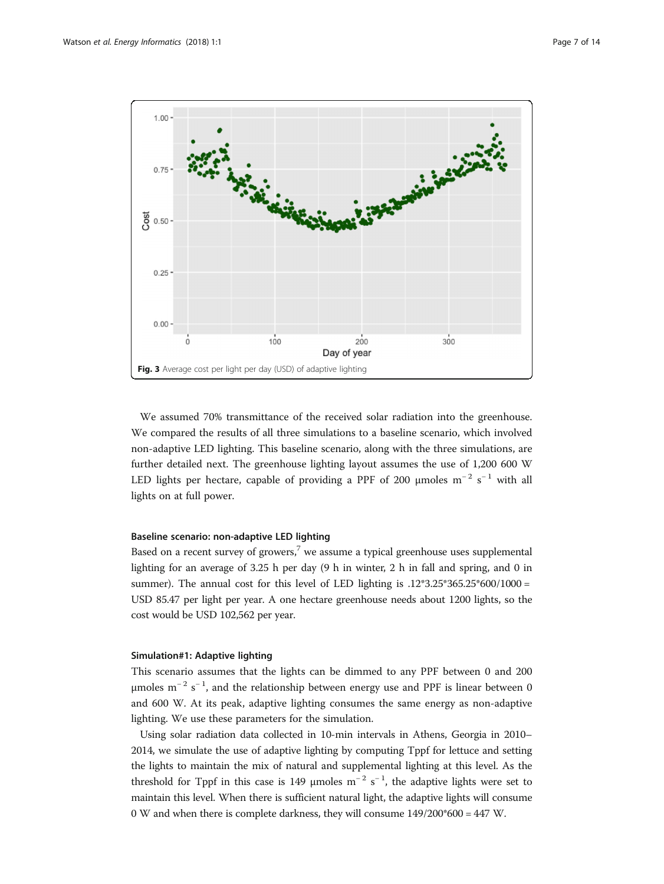<span id="page-6-0"></span>

We assumed 70% transmittance of the received solar radiation into the greenhouse. We compared the results of all three simulations to a baseline scenario, which involved non-adaptive LED lighting. This baseline scenario, along with the three simulations, are further detailed next. The greenhouse lighting layout assumes the use of 1,200 600 W LED lights per hectare, capable of providing a PPF of 200 µmoles  $m^{-2} s^{-1}$  with all lights on at full power.

## Baseline scenario: non-adaptive LED lighting

Based on a recent survey of growers,<sup>7</sup> we assume a typical greenhouse uses supplemental lighting for an average of 3.25 h per day (9 h in winter, 2 h in fall and spring, and 0 in summer). The annual cost for this level of LED lighting is  $.12*3.25*365.25*600/1000 =$ USD 85.47 per light per year. A one hectare greenhouse needs about 1200 lights, so the cost would be USD 102,562 per year.

#### Simulation#1: Adaptive lighting

This scenario assumes that the lights can be dimmed to any PPF between 0 and 200 µmoles m<sup>-2</sup> s<sup>-1</sup>, and the relationship between energy use and PPF is linear between 0 and 600 W. At its peak, adaptive lighting consumes the same energy as non-adaptive lighting. We use these parameters for the simulation.

Using solar radiation data collected in 10-min intervals in Athens, Georgia in 2010– 2014, we simulate the use of adaptive lighting by computing Tppf for lettuce and setting the lights to maintain the mix of natural and supplemental lighting at this level. As the threshold for Tppf in this case is 149 µmoles  $m^{-2} s^{-1}$ , the adaptive lights were set to maintain this level. When there is sufficient natural light, the adaptive lights will consume 0 W and when there is complete darkness, they will consume 149/200\*600 = 447 W.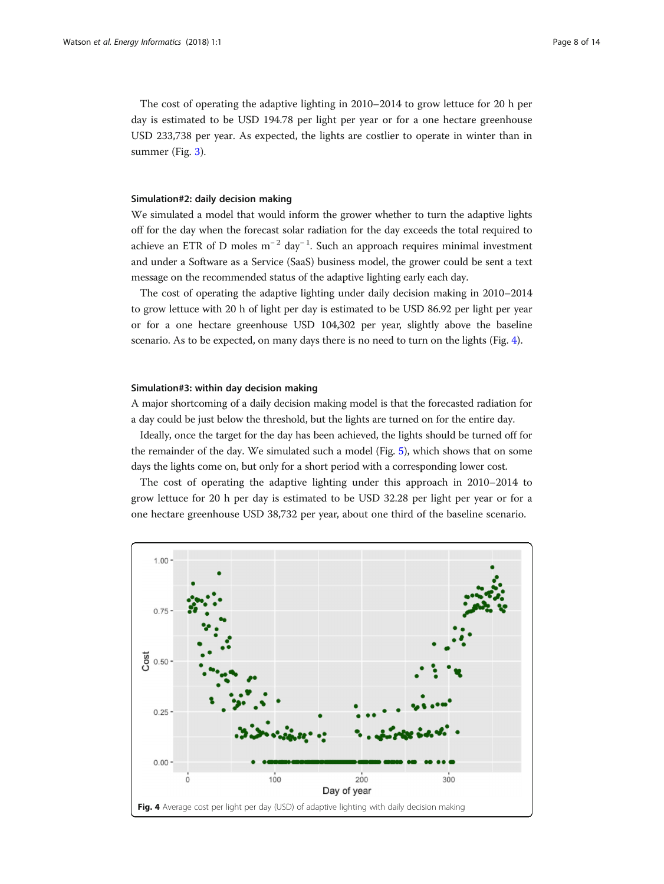The cost of operating the adaptive lighting in 2010–2014 to grow lettuce for 20 h per day is estimated to be USD 194.78 per light per year or for a one hectare greenhouse USD 233,738 per year. As expected, the lights are costlier to operate in winter than in summer (Fig. [3\)](#page-6-0).

#### Simulation#2: daily decision making

We simulated a model that would inform the grower whether to turn the adaptive lights off for the day when the forecast solar radiation for the day exceeds the total required to achieve an ETR of D moles  $m^{-2}$  day $^{-1}$ . Such an approach requires minimal investment and under a Software as a Service (SaaS) business model, the grower could be sent a text message on the recommended status of the adaptive lighting early each day.

The cost of operating the adaptive lighting under daily decision making in 2010–2014 to grow lettuce with 20 h of light per day is estimated to be USD 86.92 per light per year or for a one hectare greenhouse USD 104,302 per year, slightly above the baseline scenario. As to be expected, on many days there is no need to turn on the lights (Fig. 4).

#### Simulation#3: within day decision making

A major shortcoming of a daily decision making model is that the forecasted radiation for a day could be just below the threshold, but the lights are turned on for the entire day.

Ideally, once the target for the day has been achieved, the lights should be turned off for the remainder of the day. We simulated such a model (Fig. [5](#page-8-0)), which shows that on some days the lights come on, but only for a short period with a corresponding lower cost.

The cost of operating the adaptive lighting under this approach in 2010–2014 to grow lettuce for 20 h per day is estimated to be USD 32.28 per light per year or for a one hectare greenhouse USD 38,732 per year, about one third of the baseline scenario.

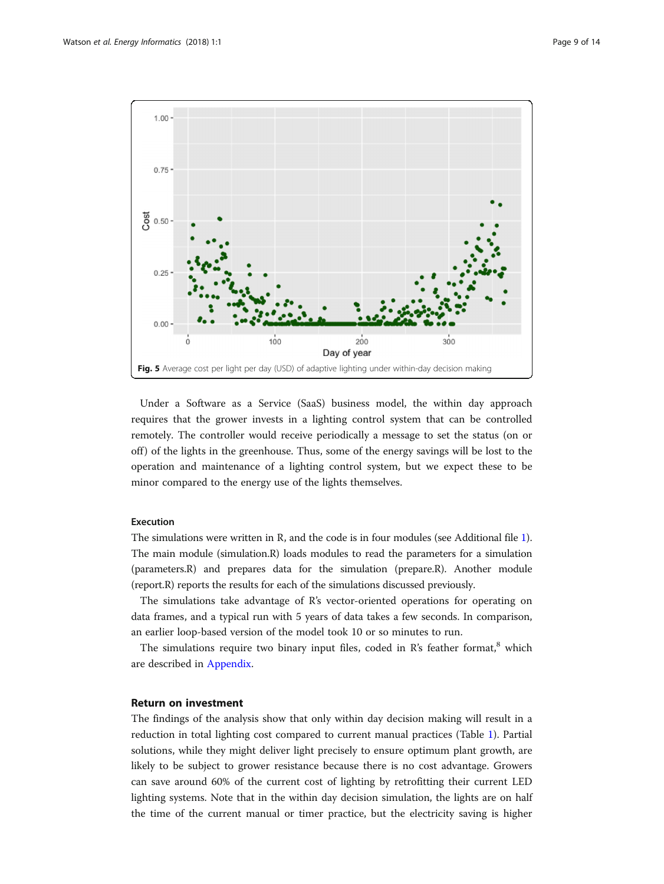<span id="page-8-0"></span>

Under a Software as a Service (SaaS) business model, the within day approach requires that the grower invests in a lighting control system that can be controlled remotely. The controller would receive periodically a message to set the status (on or off ) of the lights in the greenhouse. Thus, some of the energy savings will be lost to the operation and maintenance of a lighting control system, but we expect these to be minor compared to the energy use of the lights themselves.

## Execution

The simulations were written in R, and the code is in four modules (see Additional file [1](#page-12-0)). The main module (simulation.R) loads modules to read the parameters for a simulation (parameters.R) and prepares data for the simulation (prepare.R). Another module (report.R) reports the results for each of the simulations discussed previously.

The simulations take advantage of R's vector-oriented operations for operating on data frames, and a typical run with 5 years of data takes a few seconds. In comparison, an earlier loop-based version of the model took 10 or so minutes to run.

The simulations require two binary input files, coded in R's feather format, $8$  which are described in [Appendix](#page-12-0).

#### Return on investment

The findings of the analysis show that only within day decision making will result in a reduction in total lighting cost compared to current manual practices (Table [1\)](#page-9-0). Partial solutions, while they might deliver light precisely to ensure optimum plant growth, are likely to be subject to grower resistance because there is no cost advantage. Growers can save around 60% of the current cost of lighting by retrofitting their current LED lighting systems. Note that in the within day decision simulation, the lights are on half the time of the current manual or timer practice, but the electricity saving is higher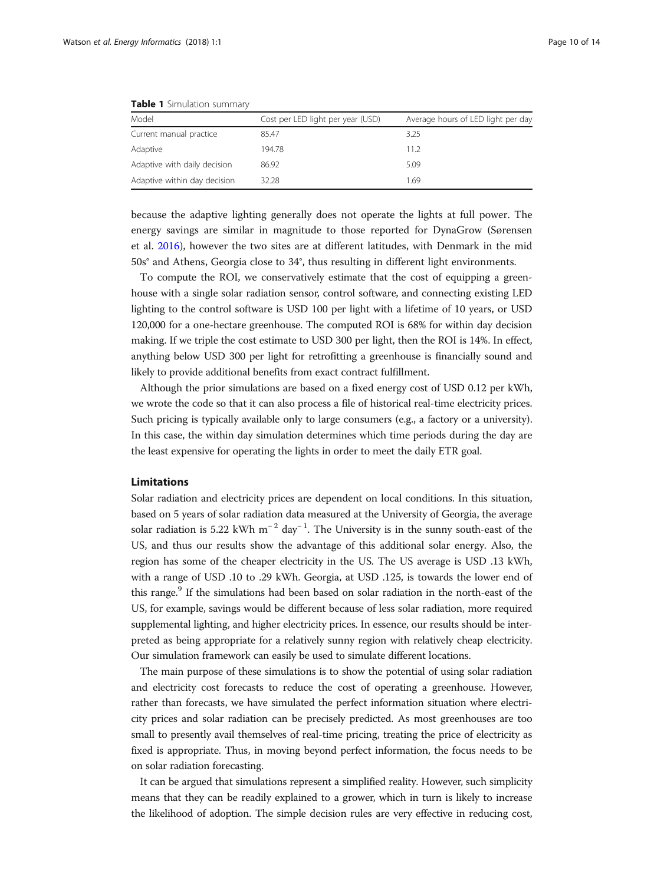| Model                        | Cost per LED light per year (USD) | Average hours of LED light per day |
|------------------------------|-----------------------------------|------------------------------------|
| Current manual practice      | 85.47                             | 3.25                               |
| Adaptive                     | 194.78                            | 11.2                               |
| Adaptive with daily decision | 86.92                             | 5.09                               |
| Adaptive within day decision | 32.28                             | 1.69                               |

<span id="page-9-0"></span>Table 1 Simulation summary

because the adaptive lighting generally does not operate the lights at full power. The energy savings are similar in magnitude to those reported for DynaGrow (Sørensen et al. [2016](#page-13-0)), however the two sites are at different latitudes, with Denmark in the mid 50s° and Athens, Georgia close to 34°, thus resulting in different light environments.

To compute the ROI, we conservatively estimate that the cost of equipping a greenhouse with a single solar radiation sensor, control software, and connecting existing LED lighting to the control software is USD 100 per light with a lifetime of 10 years, or USD 120,000 for a one-hectare greenhouse. The computed ROI is 68% for within day decision making. If we triple the cost estimate to USD 300 per light, then the ROI is 14%. In effect, anything below USD 300 per light for retrofitting a greenhouse is financially sound and likely to provide additional benefits from exact contract fulfillment.

Although the prior simulations are based on a fixed energy cost of USD 0.12 per kWh, we wrote the code so that it can also process a file of historical real-time electricity prices. Such pricing is typically available only to large consumers (e.g., a factory or a university). In this case, the within day simulation determines which time periods during the day are the least expensive for operating the lights in order to meet the daily ETR goal.

#### Limitations

Solar radiation and electricity prices are dependent on local conditions. In this situation, based on 5 years of solar radiation data measured at the University of Georgia, the average solar radiation is 5.22 kWh m<sup>-2</sup> day<sup>-1</sup>. The University is in the sunny south-east of the US, and thus our results show the advantage of this additional solar energy. Also, the region has some of the cheaper electricity in the US. The US average is USD .13 kWh, with a range of USD .10 to .29 kWh. Georgia, at USD .125, is towards the lower end of this range.<sup>9</sup> If the simulations had been based on solar radiation in the north-east of the US, for example, savings would be different because of less solar radiation, more required supplemental lighting, and higher electricity prices. In essence, our results should be interpreted as being appropriate for a relatively sunny region with relatively cheap electricity. Our simulation framework can easily be used to simulate different locations.

The main purpose of these simulations is to show the potential of using solar radiation and electricity cost forecasts to reduce the cost of operating a greenhouse. However, rather than forecasts, we have simulated the perfect information situation where electricity prices and solar radiation can be precisely predicted. As most greenhouses are too small to presently avail themselves of real-time pricing, treating the price of electricity as fixed is appropriate. Thus, in moving beyond perfect information, the focus needs to be on solar radiation forecasting.

It can be argued that simulations represent a simplified reality. However, such simplicity means that they can be readily explained to a grower, which in turn is likely to increase the likelihood of adoption. The simple decision rules are very effective in reducing cost,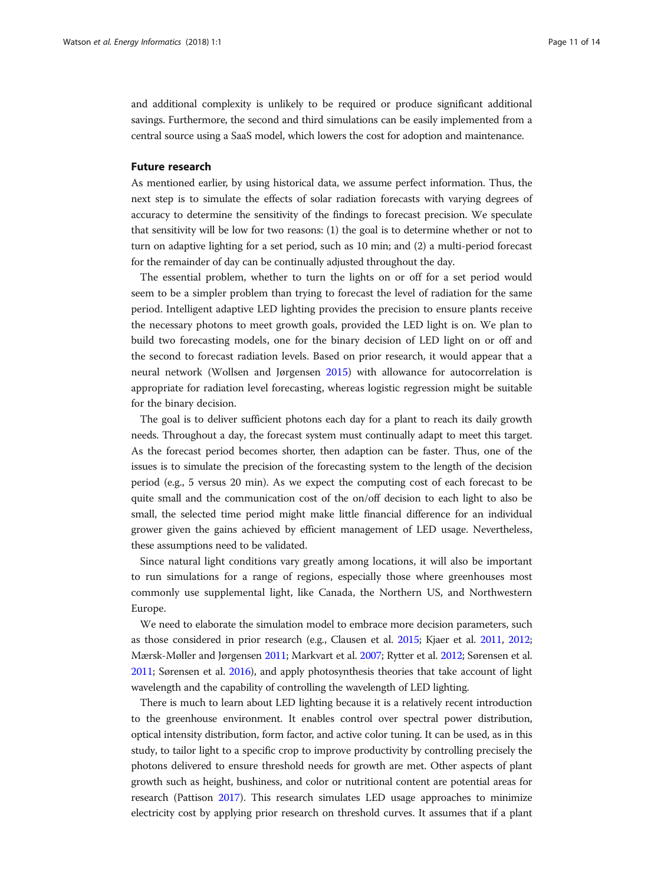and additional complexity is unlikely to be required or produce significant additional savings. Furthermore, the second and third simulations can be easily implemented from a central source using a SaaS model, which lowers the cost for adoption and maintenance.

#### Future research

As mentioned earlier, by using historical data, we assume perfect information. Thus, the next step is to simulate the effects of solar radiation forecasts with varying degrees of accuracy to determine the sensitivity of the findings to forecast precision. We speculate that sensitivity will be low for two reasons: (1) the goal is to determine whether or not to turn on adaptive lighting for a set period, such as 10 min; and (2) a multi-period forecast for the remainder of day can be continually adjusted throughout the day.

The essential problem, whether to turn the lights on or off for a set period would seem to be a simpler problem than trying to forecast the level of radiation for the same period. Intelligent adaptive LED lighting provides the precision to ensure plants receive the necessary photons to meet growth goals, provided the LED light is on. We plan to build two forecasting models, one for the binary decision of LED light on or off and the second to forecast radiation levels. Based on prior research, it would appear that a neural network (Wollsen and Jørgensen [2015](#page-13-0)) with allowance for autocorrelation is appropriate for radiation level forecasting, whereas logistic regression might be suitable for the binary decision.

The goal is to deliver sufficient photons each day for a plant to reach its daily growth needs. Throughout a day, the forecast system must continually adapt to meet this target. As the forecast period becomes shorter, then adaption can be faster. Thus, one of the issues is to simulate the precision of the forecasting system to the length of the decision period (e.g., 5 versus 20 min). As we expect the computing cost of each forecast to be quite small and the communication cost of the on/off decision to each light to also be small, the selected time period might make little financial difference for an individual grower given the gains achieved by efficient management of LED usage. Nevertheless, these assumptions need to be validated.

Since natural light conditions vary greatly among locations, it will also be important to run simulations for a range of regions, especially those where greenhouses most commonly use supplemental light, like Canada, the Northern US, and Northwestern Europe.

We need to elaborate the simulation model to embrace more decision parameters, such as those considered in prior research (e.g., Clausen et al. [2015](#page-12-0); Kjaer et al. [2011](#page-12-0), [2012](#page-13-0); Mærsk-Møller and Jørgensen [2011;](#page-13-0) Markvart et al. [2007](#page-13-0); Rytter et al. [2012;](#page-13-0) Sørensen et al. [2011;](#page-13-0) Sørensen et al. [2016\)](#page-13-0), and apply photosynthesis theories that take account of light wavelength and the capability of controlling the wavelength of LED lighting.

There is much to learn about LED lighting because it is a relatively recent introduction to the greenhouse environment. It enables control over spectral power distribution, optical intensity distribution, form factor, and active color tuning. It can be used, as in this study, to tailor light to a specific crop to improve productivity by controlling precisely the photons delivered to ensure threshold needs for growth are met. Other aspects of plant growth such as height, bushiness, and color or nutritional content are potential areas for research (Pattison [2017](#page-13-0)). This research simulates LED usage approaches to minimize electricity cost by applying prior research on threshold curves. It assumes that if a plant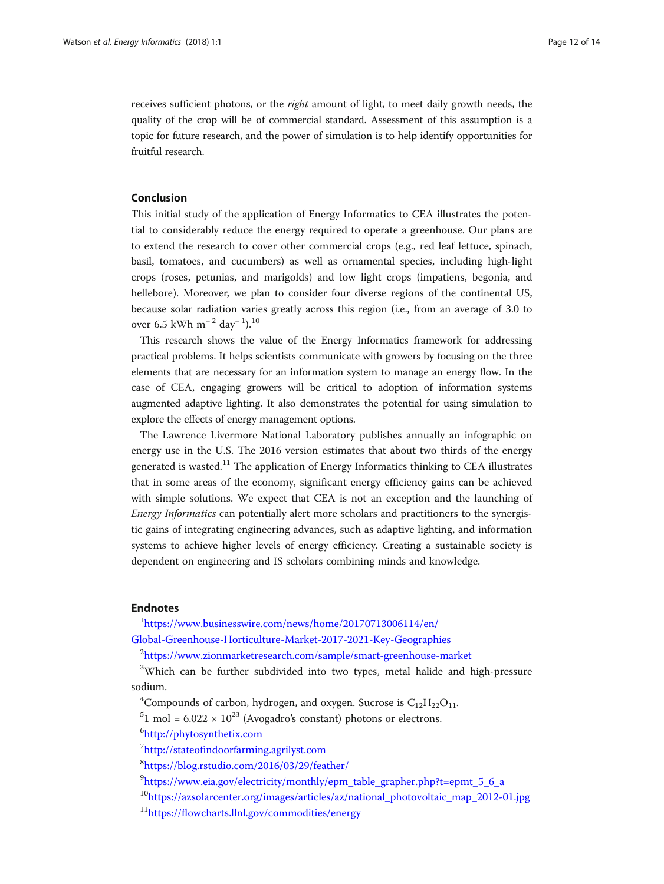receives sufficient photons, or the right amount of light, to meet daily growth needs, the quality of the crop will be of commercial standard. Assessment of this assumption is a topic for future research, and the power of simulation is to help identify opportunities for fruitful research.

#### Conclusion

This initial study of the application of Energy Informatics to CEA illustrates the potential to considerably reduce the energy required to operate a greenhouse. Our plans are to extend the research to cover other commercial crops (e.g., red leaf lettuce, spinach, basil, tomatoes, and cucumbers) as well as ornamental species, including high-light crops (roses, petunias, and marigolds) and low light crops (impatiens, begonia, and hellebore). Moreover, we plan to consider four diverse regions of the continental US, because solar radiation varies greatly across this region (i.e., from an average of 3.0 to over 6.5 kWh m<sup>-2</sup> day<sup>-1</sup>).<sup>10</sup>

This research shows the value of the Energy Informatics framework for addressing practical problems. It helps scientists communicate with growers by focusing on the three elements that are necessary for an information system to manage an energy flow. In the case of CEA, engaging growers will be critical to adoption of information systems augmented adaptive lighting. It also demonstrates the potential for using simulation to explore the effects of energy management options.

The Lawrence Livermore National Laboratory publishes annually an infographic on energy use in the U.S. The 2016 version estimates that about two thirds of the energy generated is wasted.<sup>11</sup> The application of Energy Informatics thinking to CEA illustrates that in some areas of the economy, significant energy efficiency gains can be achieved with simple solutions. We expect that CEA is not an exception and the launching of Energy Informatics can potentially alert more scholars and practitioners to the synergistic gains of integrating engineering advances, such as adaptive lighting, and information systems to achieve higher levels of energy efficiency. Creating a sustainable society is dependent on engineering and IS scholars combining minds and knowledge.

## Endnotes

1 [https://www.businesswire.com/news/home/20170713006114/en/](https://www.businesswire.com/news/home/20170713006114/en/Global-Greenhouse-Horticulture-Market-2017-2021-Key-Geographies)

[Global-Greenhouse-Horticulture-Market-2017-2021-Key-Geographies](https://www.businesswire.com/news/home/20170713006114/en/Global-Greenhouse-Horticulture-Market-2017-2021-Key-Geographies)

2 <https://www.zionmarketresearch.com/sample/smart-greenhouse-market>

<sup>3</sup>Which can be further subdivided into two types, metal halide and high-pressure sodium.

<sup>4</sup> Compounds of carbon, hydrogen, and oxygen. Sucrose is  $C_{12}H_{22}O_{11}$ .

<sup>5</sup>1 mol =  $6.022 \times 10^{23}$  (Avogadro's constant) photons or electrons.

6 <http://phytosynthetix.com>

7 <http://stateofindoorfarming.agrilyst.com>

8 [https://blog.rstudio.com/2016/03/29/feather/](https://blog.rstudio.com/2016/03/29/feather)

9 [https://www.eia.gov/electricity/monthly/epm\\_table\\_grapher.php?t=epmt\\_5\\_6\\_a](https://www.eia.gov/electricity/monthly/epm_table_grapher.php?t=epmt_5_6_a)

<sup>10</sup>[https://azsolarcenter.org/images/articles/az/national\\_photovoltaic\\_map\\_2012-01.jpg](https://azsolarcenter.org/images/articles/az/national_photovoltaic_map_2012-01.jpg)

11<https://flowcharts.llnl.gov/commodities/energy>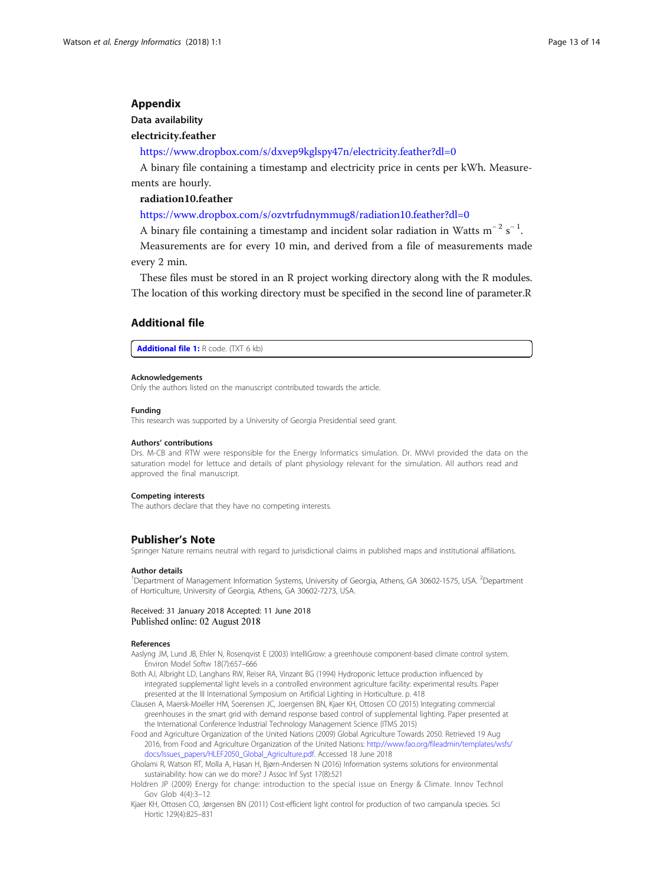#### <span id="page-12-0"></span>Appendix

#### Data availability

## electricity.feather

## <https://www.dropbox.com/s/dxvep9kglspy47n/electricity.feather?dl=0>

A binary file containing a timestamp and electricity price in cents per kWh. Measurements are hourly.

#### radiation10.feather

#### <https://www.dropbox.com/s/ozvtrfudnymmug8/radiation10.feather?dl=0>

A binary file containing a timestamp and incident solar radiation in Watts  $m^{-2} s^{-1}$ .

Measurements are for every 10 min, and derived from a file of measurements made every 2 min.

These files must be stored in an R project working directory along with the R modules. The location of this working directory must be specified in the second line of parameter.R

#### Additional file

[Additional file 1:](https://doi.org/10.1007/s42162-018-0005-7) R code. (TXT 6 kb)

#### Acknowledgements

Only the authors listed on the manuscript contributed towards the article.

#### Funding

This research was supported by a University of Georgia Presidential seed grant.

#### Authors' contributions

Drs. M-CB and RTW were responsible for the Energy Informatics simulation. Dr. MWvI provided the data on the saturation model for lettuce and details of plant physiology relevant for the simulation. All authors read and approved the final manuscript.

#### Competing interests

The authors declare that they have no competing interests.

#### Publisher's Note

Springer Nature remains neutral with regard to jurisdictional claims in published maps and institutional affiliations.

#### Author details

<sup>1</sup>Department of Management Information Systems, University of Georgia, Athens, GA 30602-1575, USA. <sup>2</sup>Department of Horticulture, University of Georgia, Athens, GA 30602-7273, USA.

#### Received: 31 January 2018 Accepted: 11 June 2018 Published online: 02 August 2018

#### References

- Aaslyng JM, Lund JB, Ehler N, Rosenqvist E (2003) IntelliGrow: a greenhouse component-based climate control system. Environ Model Softw 18(7):657–666
- Both AJ, Albright LD, Langhans RW, Reiser RA, Vinzant BG (1994) Hydroponic lettuce production influenced by integrated supplemental light levels in a controlled environment agriculture facility: experimental results. Paper presented at the III International Symposium on Artificial Lighting in Horticulture. p. 418
- Clausen A, Maersk-Moeller HM, Soerensen JC, Joergensen BN, Kjaer KH, Ottosen CO (2015) Integrating commercial greenhouses in the smart grid with demand response based control of supplemental lighting. Paper presented at the International Conference Industrial Technology Management Science (ITMS 2015)
- Food and Agriculture Organization of the United Nations (2009) Global Agriculture Towards 2050. Retrieved 19 Aug 2016, from Food and Agriculture Organization of the United Nations: [http://www.fao.org/fileadmin/templates/wsfs/](http://www.fao.org/fileadmin/templates/wsfs/docs/Issues_papers/HLEF2050_Global_Agriculture.pdf) [docs/Issues\\_papers/HLEF2050\\_Global\\_Agriculture.pdf.](http://www.fao.org/fileadmin/templates/wsfs/docs/Issues_papers/HLEF2050_Global_Agriculture.pdf) Accessed 18 June 2018

Gholami R, Watson RT, Molla A, Hasan H, Bjørn-Andersen N (2016) Information systems solutions for environmental sustainability: how can we do more? J Assoc Inf Syst 17(8):521

- Holdren JP (2009) Energy for change: introduction to the special issue on Energy & Climate. Innov Technol Gov Glob 4(4):3–12
- Kjaer KH, Ottosen CO, Jørgensen BN (2011) Cost-efficient light control for production of two campanula species. Sci Hortic 129(4):825–831